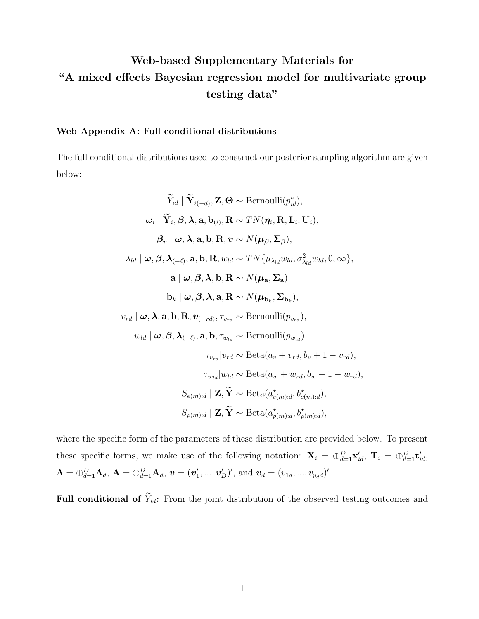## Web-based Supplementary Materials for "A mixed effects Bayesian regression model for multivariate group testing data"

## Web Appendix A: Full conditional distributions

The full conditional distributions used to construct our posterior sampling algorithm are given below:

$$
\widetilde{Y}_{id} | \widetilde{\mathbf{Y}}_{i(-d)}, \mathbf{Z}, \Theta \sim \text{Bernoulli}(p_{id}^{*}),
$$
\n
$$
\omega_{i} | \widetilde{\mathbf{Y}}_{i}, \beta, \lambda, \mathbf{a}, \mathbf{b}_{(i)}, \mathbf{R} \sim TN(\eta_{i}, \mathbf{R}, \mathbf{L}_{i}, \mathbf{U}_{i}),
$$
\n
$$
\beta_{\mathbf{v}} | \omega, \lambda, \mathbf{a}, \mathbf{b}, \mathbf{R}, \mathbf{v} \sim N(\boldsymbol{\mu}_{\beta}, \boldsymbol{\Sigma}_{\beta}),
$$
\n
$$
\lambda_{ld} | \omega, \beta, \lambda_{(-\ell)}, \mathbf{a}, \mathbf{b}, \mathbf{R}, w_{ld} \sim TN\{\mu_{\lambda_{ld}}w_{ld}, \sigma_{\lambda_{ld}}^{2}w_{ld}, 0, \infty\},
$$
\n
$$
\mathbf{a} | \omega, \beta, \lambda, \mathbf{b}, \mathbf{R} \sim N(\boldsymbol{\mu}_{\mathbf{a}}, \boldsymbol{\Sigma}_{\mathbf{a}})
$$
\n
$$
\mathbf{b}_{k} | \omega, \beta, \lambda, \mathbf{a}, \mathbf{R} \sim N(\boldsymbol{\mu}_{\mathbf{b}_{k}}, \boldsymbol{\Sigma}_{\mathbf{b}_{k}}),
$$
\n
$$
v_{rd} | \omega, \lambda, \mathbf{a}, \mathbf{b}, \mathbf{R}, v_{(-rd)}, \tau_{v_{rd}} \sim \text{Bernoulli}(p_{v_{rd}}),
$$
\n
$$
w_{ld} | \omega, \beta, \lambda_{(-\ell)}, \mathbf{a}, \mathbf{b}, \tau_{w_{ld}} \sim \text{Bernoulli}(p_{w_{ld}}),
$$
\n
$$
\tau_{v_{rd}} | v_{rd} \sim \text{Beta}(a_{v} + v_{rd}, b_{v} + 1 - v_{rd}),
$$
\n
$$
\tau_{w_{ld}} | w_{ld} \sim \text{Beta}(a_{w} + w_{rd}, b_{w} + 1 - w_{rd}),
$$
\n
$$
S_{e(m):d} | \mathbf{Z}, \widetilde{\mathbf{Y}} \sim \text{Beta}(a_{e(m):d}^{*}, b_{e(m):d}^{*}),
$$
\n
$$
S_{p(m):d} | \mathbf{Z}, \widetilde{\mathbf{Y}} \sim \text{Beta}(a_{
$$

where the specific form of the parameters of these distribution are provided below. To present these specific forms, we make use of the following notation:  $\mathbf{X}_i = \bigoplus_{d=1}^D \mathbf{x}'_{id}$ ,  $\mathbf{T}_i = \bigoplus_{d=1}^D \mathbf{t}'_{id}$ ,  $\mathbf{\Lambda}=\oplus_{d=1}^D \mathbf{\Lambda}_d, \, \mathbf{A}=\oplus_{d=1}^D \mathbf{A}_d, \, \boldsymbol{v}=(\boldsymbol{v}'_1,...,\boldsymbol{v}'_D)', \, \text{and} \, \, \boldsymbol{v}_d=(v_{1d},...,v_{p_d d})'$ 

Full conditional of  $\widetilde{Y}_{id}$ : From the joint distribution of the observed testing outcomes and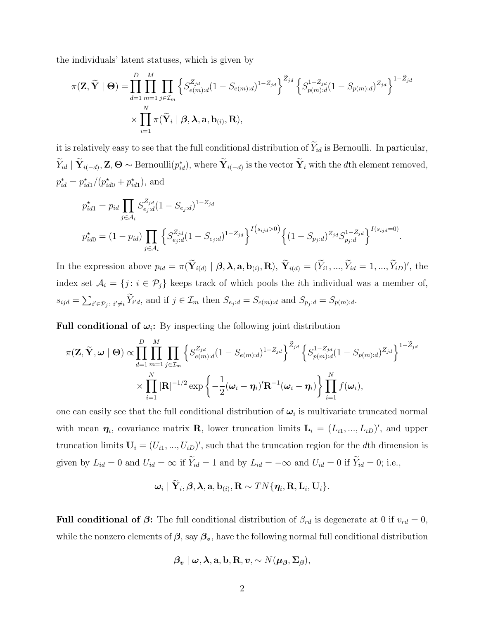the individuals' latent statuses, which is given by

$$
\pi(\mathbf{Z}, \widetilde{\mathbf{Y}} \mid \boldsymbol{\Theta}) = \prod_{d=1}^{D} \prod_{m=1}^{M} \prod_{j \in \mathcal{I}_m} \left\{ S_{e(m):d}^{Z_{jd}} (1 - S_{e(m):d})^{1 - Z_{jd}} \right\}^{\widetilde{Z}_{jd}} \left\{ S_{p(m):d}^{1 - Z_{jd}} (1 - S_{p(m):d})^{Z_{jd}} \right\}^{1 - \widetilde{Z}_{jd}}
$$

$$
\times \prod_{i=1}^{N} \pi(\widetilde{\mathbf{Y}}_i \mid \boldsymbol{\beta}, \boldsymbol{\lambda}, \mathbf{a}, \mathbf{b}_{(i)}, \mathbf{R}),
$$

it is relatively easy to see that the full conditional distribution of  $\widetilde{Y}_{id}$  is Bernoulli. In particular,  $\widetilde{Y}_{id} \mid \widetilde{\mathbf{Y}}_{i(-d)}, \mathbf{Z}, \Theta \sim \text{Bernoulli}(p_{id}^*), \text{ where } \widetilde{\mathbf{Y}}_{i(-d)} \text{ is the vector } \widetilde{\mathbf{Y}}_i \text{ with the } d \text{th element removed},$  $p_{id}^* = p_{id1}^*/(p_{id0}^* + p_{id1}^*)$ , and

$$
p_{id1}^{\star} = p_{id} \prod_{j \in \mathcal{A}_i} S_{e_j:d}^{Z_{jd}} (1 - S_{e_j:d})^{1 - Z_{jd}}
$$
  

$$
p_{id0}^{\star} = (1 - p_{id}) \prod_{j \in \mathcal{A}_i} \left\{ S_{e_j:d}^{Z_{jd}} (1 - S_{e_j:d})^{1 - Z_{jd}} \right\}^{I(s_{ijd} > 0)} \left\{ (1 - S_{p_j:d})^{Z_{jd}} S_{p_j:d}^{1 - Z_{jd}} \right\}^{I(s_{ijd} = 0)}.
$$

In the expression above  $p_{id} = \pi(\mathbf{Y}_{i(d)} | \mathbf{\beta}, \mathbf{\lambda}, \mathbf{a}, \mathbf{b}_{(i)}, \mathbf{R}), \mathbf{Y}_{i(d)} = (Y_{i1}, ..., Y_{id} = 1, ..., Y_{iD})'$ , the index set  $A_i = \{j : i \in \mathcal{P}_j\}$  keeps track of which pools the *i*th individual was a member of,  $s_{ijd} = \sum_{i' \in \mathcal{P}_j : i' \neq i} Y_{i'd}$ , and if  $j \in \mathcal{I}_m$  then  $S_{e_j:d} = S_{e(m):d}$  and  $S_{p_j:d} = S_{p(m):d}$ .

Full conditional of  $\omega_i$ : By inspecting the following joint distribution

$$
\pi(\mathbf{Z}, \widetilde{\mathbf{Y}}, \boldsymbol{\omega} \mid \boldsymbol{\Theta}) \propto \prod_{d=1}^{D} \prod_{m=1}^{M} \prod_{j \in \mathcal{I}_m} \left\{ S_{e(m):d}^{Z_{jd}} (1 - S_{e(m):d})^{1 - Z_{jd}} \right\}^{\widetilde{Z}_{jd}} \left\{ S_{p(m):d}^{1 - Z_{jd}} (1 - S_{p(m):d})^{Z_{jd}} \right\}^{1 - \widetilde{Z}_{jd}}
$$

$$
\times \prod_{i=1}^{N} |\mathbf{R}|^{-1/2} \exp \left\{ -\frac{1}{2} (\boldsymbol{\omega}_i - \boldsymbol{\eta}_i)' \mathbf{R}^{-1} (\boldsymbol{\omega}_i - \boldsymbol{\eta}_i) \right\} \prod_{i=1}^{N} f(\boldsymbol{\omega}_i),
$$

one can easily see that the full conditional distribution of  $\omega_i$  is multivariate truncated normal with mean  $\eta_i$ , covariance matrix **R**, lower truncation limits  $\mathbf{L}_i = (L_{i1}, ..., L_{iD})'$ , and upper truncation limits  $U_i = (U_{i1}, ..., U_{iD})'$ , such that the truncation region for the dth dimension is given by  $L_{id} = 0$  and  $U_{id} = \infty$  if  $\widetilde{Y}_{id} = 1$  and by  $L_{id} = -\infty$  and  $U_{id} = 0$  if  $\widetilde{Y}_{id} = 0$ ; i.e.,

$$
\boldsymbol{\omega}_i \mid \mathbf{\tilde{Y}}_i, \boldsymbol{\beta}, \boldsymbol{\lambda}, \mathbf{a}, \mathbf{b}_{(i)}, \mathbf{R} \sim TN\{ \boldsymbol{\eta}_i, \mathbf{R}, \mathbf{L}_i, \mathbf{U}_i \}.
$$

**Full conditional of**  $\beta$ **:** The full conditional distribution of  $\beta_{rd}$  is degenerate at 0 if  $v_{rd} = 0$ , while the nonzero elements of  $\beta$ , say  $\beta_v$ , have the following normal full conditional distribution

$$
\beta_v | \omega, \lambda, \mathbf{a}, \mathbf{b}, \mathbf{R}, v, \sim N(\mu_\beta, \Sigma_\beta),
$$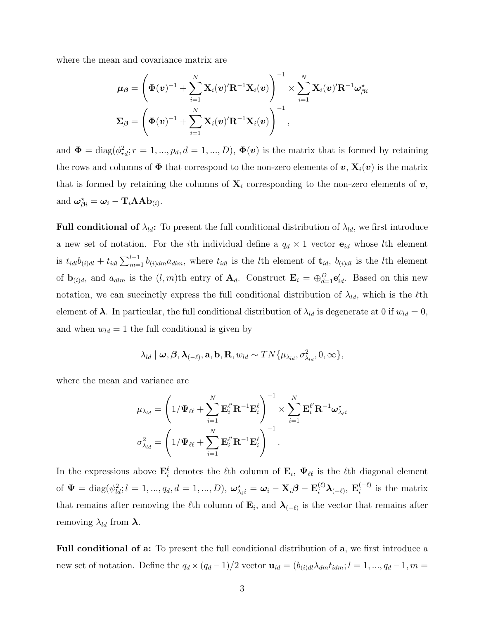where the mean and covariance matrix are

$$
\boldsymbol{\mu}_{\boldsymbol{\beta}} = \left(\Phi(\boldsymbol{v})^{-1} + \sum_{i=1}^N \mathbf{X}_i(\boldsymbol{v})'\mathbf{R}^{-1}\mathbf{X}_i(\boldsymbol{v})\right)^{-1} \times \sum_{i=1}^N \mathbf{X}_i(\boldsymbol{v})'\mathbf{R}^{-1}\boldsymbol{\omega}_{\boldsymbol{\beta} i}^\star \\ \boldsymbol{\Sigma}_{\boldsymbol{\beta}} = \left(\Phi(\boldsymbol{v})^{-1} + \sum_{i=1}^N \mathbf{X}_i(\boldsymbol{v})'\mathbf{R}^{-1}\mathbf{X}_i(\boldsymbol{v})\right)^{-1},
$$

and  $\mathbf{\Phi} = \text{diag}(\phi_{rd}^2; r = 1, ..., p_d, d = 1, ..., D), \mathbf{\Phi}(\mathbf{v})$  is the matrix that is formed by retaining the rows and columns of  $\Phi$  that correspond to the non-zero elements of  $v, X_i(v)$  is the matrix that is formed by retaining the columns of  $\mathbf{X}_i$  corresponding to the non-zero elements of  $v$ , and  $\boldsymbol{\omega}_{\beta i}^{\star} = \boldsymbol{\omega}_i - \mathbf{T}_i \mathbf{\Lambda} \mathbf{Ab}_{(i)}$ .

**Full conditional of**  $\lambda_{ld}$ : To present the full conditional distribution of  $\lambda_{ld}$ , we first introduce a new set of notation. For the *i*th individual define a  $q_d \times 1$  vector  $e_{id}$  whose *l*th element is  $t_{idl}b_{(i)dl} + t_{idl}\sum_{m=1}^{l-1}b_{(i)dm}a_{dlm}$ , where  $t_{idl}$  is the lth element of  $\mathbf{t}_{id}$ ,  $b_{(i)dl}$  is the lth element of  $\mathbf{b}_{(i)d}$ , and  $a_{dm}$  is the  $(l,m)$ th entry of  $\mathbf{A}_d$ . Construct  $\mathbf{E}_i = \bigoplus_{d=1}^D \mathbf{e}'_{id}$ . Based on this new notation, we can succinctly express the full conditional distribution of  $\lambda_{ld}$ , which is the  $\ell$ th element of  $\lambda$ . In particular, the full conditional distribution of  $\lambda_{ld}$  is degenerate at 0 if  $w_{ld} = 0$ , and when  $w_{ld} = 1$  the full conditional is given by

$$
\lambda_{ld} \mid \boldsymbol{\omega}, \boldsymbol{\beta}, \boldsymbol{\lambda}_{(-\ell)}, \mathbf{a}, \mathbf{b}, \mathbf{R}, w_{ld} \sim TN\{\mu_{\lambda_{ld}}, \sigma^2_{\lambda_{ld}}, 0, \infty\},\
$$

where the mean and variance are

$$
\mu_{\lambda_{ld}} = \left(1/\mathbf{\Psi}_{\ell\ell} + \sum_{i=1}^N \mathbf{E}_i^{\ell'} \mathbf{R}^{-1} \mathbf{E}_i^{\ell} \right)^{-1} \times \sum_{i=1}^N \mathbf{E}_i^{\ell'} \mathbf{R}^{-1} \boldsymbol{\omega}_{\lambda_{\ell}i}^{\star} \sigma_{\lambda_{ld}}^2 = \left(1/\mathbf{\Psi}_{\ell\ell} + \sum_{i=1}^N \mathbf{E}_i^{\ell'} \mathbf{R}^{-1} \mathbf{E}_i^{\ell} \right)^{-1}.
$$

In the expressions above  $\mathbf{E}_i^{\ell}$  denotes the  $\ell$ th column of  $\mathbf{E}_i$ ,  $\Psi_{\ell\ell}$  is the  $\ell$ th diagonal element of  $\boldsymbol{\Psi} = \text{diag}(\psi_{ld}^2; l = 1, ..., q_d, d = 1, ..., D), \ \boldsymbol{\omega}_{\lambda_{\ell}i}^{\star} = \boldsymbol{\omega}_i - \mathbf{X}_i \boldsymbol{\beta} - \mathbf{E}_i^{(\ell)} \boldsymbol{\lambda}_{(-\ell)}, \ \mathbf{E}_i^{(-\ell)}$  $i^{(-\ell)}$  is the matrix that remains after removing the  $\ell$ th column of  $\mathbf{E}_i$ , and  $\boldsymbol{\lambda}_{(-\ell)}$  is the vector that remains after removing  $\lambda_{ld}$  from  $\lambda$ .

Full conditional of a: To present the full conditional distribution of a, we first introduce a new set of notation. Define the  $q_d \times (q_d - 1)/2$  vector  $\mathbf{u}_{id} = (b_{(i)dl}\lambda_{dm}t_{idm}; l = 1, ..., q_d - 1, m =$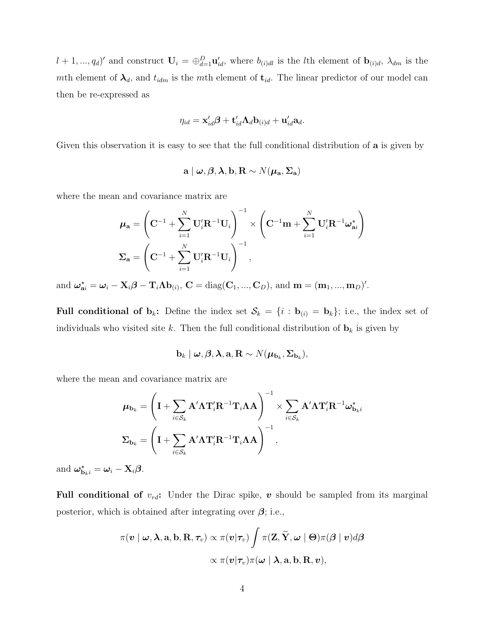$l+1, ..., q_d$ <sup>'</sup> and construct  $\mathbf{U}_i = \bigoplus_{d=1}^D \mathbf{u}'_{id}$ , where  $b_{(i)dl}$  is the *l*th element of  $\mathbf{b}_{(i)d}$ ,  $\lambda_{dm}$  is the mth element of  $\lambda_d$ , and  $t_{idm}$  is the mth element of  $t_{id}$ . The linear predictor of our model can then be re-expressed as

$$
\eta_{id} = \mathbf{x}_{id}'\boldsymbol{\beta} + \mathbf{t}_{id}'\boldsymbol{\Lambda}_d \mathbf{b}_{(i)d} + \mathbf{u}_{id}'\mathbf{a}_d.
$$

Given this observation it is easy to see that the full conditional distribution of a is given by

$$
\mathbf{a} \mid \boldsymbol{\omega}, \boldsymbol{\beta}, \boldsymbol{\lambda}, \mathbf{b}, \mathbf{R} \sim N(\boldsymbol{\mu}_{\mathbf{a}}, \boldsymbol{\Sigma}_{\mathbf{a}})
$$

where the mean and covariance matrix are

$$
\boldsymbol{\mu}_{\mathbf{a}} = \left(\mathbf{C}^{-1} + \sum_{i=1}^{N} \mathbf{U}_{i}^{\prime} \mathbf{R}^{-1} \mathbf{U}_{i}\right)^{-1} \times \left(\mathbf{C}^{-1} \mathbf{m} + \sum_{i=1}^{N} \mathbf{U}_{i}^{\prime} \mathbf{R}^{-1} \boldsymbol{\omega}_{\mathbf{a}i}^{\star}\right)
$$

$$
\boldsymbol{\Sigma}_{\mathbf{a}} = \left(\mathbf{C}^{-1} + \sum_{i=1}^{N} \mathbf{U}_{i}^{\prime} \mathbf{R}^{-1} \mathbf{U}_{i}\right)^{-1},
$$

and  $\boldsymbol{\omega}_{\boldsymbol{a}i}^{\star} = \boldsymbol{\omega}_i - \mathbf{X}_i \boldsymbol{\beta} - \mathbf{T}_i \boldsymbol{\Lambda} \mathbf{b}_{(i)}, \ \mathbf{C} = \text{diag}(\mathbf{C}_1, ..., \mathbf{C}_D), \ \text{and} \ \mathbf{m} = (\mathbf{m}_1, ..., \mathbf{m}_D)'$ .

Full conditional of  $\mathbf{b}_k$ : Define the index set  $\mathcal{S}_k = \{i : \mathbf{b}_{(i)} = \mathbf{b}_k\}$ ; i.e., the index set of individuals who visited site k. Then the full conditional distribution of  $\mathbf{b}_k$  is given by

$$
\mathbf{b}_k \mid \boldsymbol{\omega}, \boldsymbol{\beta}, \boldsymbol{\lambda}, \mathbf{a}, \mathbf{R} \sim N(\boldsymbol{\mu}_{\mathbf{b}_k}, \boldsymbol{\Sigma}_{\mathbf{b}_k}),
$$

where the mean and covariance matrix are

$$
\mu_{b_k} = \left(\mathbf{I} + \sum_{i \in S_k} \mathbf{A}' \mathbf{\Lambda} \mathbf{T}'_i \mathbf{R}^{-1} \mathbf{T}_i \mathbf{\Lambda} \mathbf{A}\right)^{-1} \times \sum_{i \in S_k} \mathbf{A}' \mathbf{\Lambda} \mathbf{T}'_i \mathbf{R}^{-1} \boldsymbol{\omega}^*_{b_k i}
$$

$$
\Sigma_{b_k} = \left(\mathbf{I} + \sum_{i \in S_k} \mathbf{A}' \mathbf{\Lambda} \mathbf{T}'_i \mathbf{R}^{-1} \mathbf{T}_i \mathbf{\Lambda} \mathbf{A}\right)^{-1},
$$

and  $\boldsymbol{\omega}_{\mathbf{b}_k i}^* = \boldsymbol{\omega}_i - \mathbf{X}_i \boldsymbol{\beta}$ .

**Full conditional of**  $v_{rd}$ : Under the Dirac spike, v should be sampled from its marginal posterior, which is obtained after integrating over  $\beta$ ; i.e.,

$$
\begin{array}{c}\pi(\boldsymbol{v} \mid \boldsymbol{\omega}, \boldsymbol{\lambda}, \mathbf{a}, \mathbf{b}, \mathbf{R}, \boldsymbol{\tau}_v) \propto \pi(\boldsymbol{v} \vert \boldsymbol{\tau}_v) \int \pi(\mathbf{Z}, \widetilde{\mathbf{Y}}, \boldsymbol{\omega} \mid \boldsymbol{\Theta}) \pi(\boldsymbol{\beta} \mid \boldsymbol{v}) d\boldsymbol{\beta} \\ \\ \propto \pi(\boldsymbol{v} \vert \boldsymbol{\tau}_v) \pi(\boldsymbol{\omega} \mid \boldsymbol{\lambda}, \mathbf{a}, \mathbf{b}, \mathbf{R}, \boldsymbol{v}),\end{array}
$$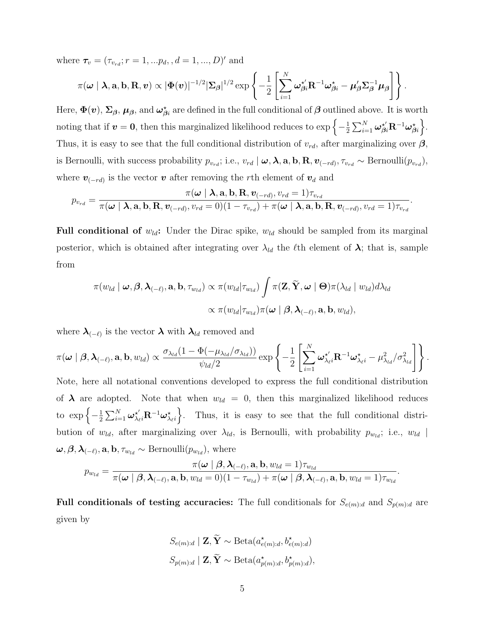where  $\tau_v = (\tau_{v_{rd}}; r = 1, ... p_d, , d = 1, ..., D)'$  and

$$
\pi(\boldsymbol{\omega} \mid \boldsymbol{\lambda}, \mathbf{a}, \mathbf{b}, \mathbf{R}, \boldsymbol{v}) \propto |\Phi(\boldsymbol{v})|^{-1/2} |\boldsymbol{\Sigma}_{\boldsymbol{\beta}}|^{1/2} \exp \left\{-\frac{1}{2} \left[ \sum_{i=1}^N \boldsymbol{\omega}_{\boldsymbol{\beta} i}^{\star} \mathbf{R}^{-1} \boldsymbol{\omega}_{\boldsymbol{\beta} i}^{\star} - \boldsymbol{\mu}_{\boldsymbol{\beta}}^{\prime} \boldsymbol{\Sigma}_{\boldsymbol{\beta}}^{-1} \boldsymbol{\mu}_{\boldsymbol{\beta}} \right] \right\}.
$$

Here,  $\Phi(v)$ ,  $\Sigma_{\beta}$ ,  $\mu_{\beta}$ , and  $\omega_{\beta i}^*$  are defined in the full conditional of  $\beta$  outlined above. It is worth noting that if  $v = 0$ , then this marginalized likelihood reduces to  $\exp\left\{-\frac{1}{2}\right\}$  $\frac{1}{2}\sum_{i=1}^N\bm{\omega}^{\star'}_{\bm{\beta}i}\mathbf{R}^{-1}\bm{\omega}^{\star}_{\bm{\beta}i}\Big\}.$ Thus, it is easy to see that the full conditional distribution of  $v_{rd}$ , after marginalizing over  $\beta$ , is Bernoulli, with success probability  $p_{v_{rd}}$ ; i.e.,  $v_{rd} \mid \boldsymbol{\omega}, \boldsymbol{\lambda}, \mathbf{a}, \mathbf{b}, \mathbf{R}, \boldsymbol{v}_{(-rd)}, \tau_{v_{rd}} \sim \text{Bernoulli}(p_{v_{rd}})$ , where  $v_{(-rd)}$  is the vector v after removing the rth element of  $v_d$  and

$$
p_{v_{rd}} = \frac{\pi(\boldsymbol{\omega} \mid \boldsymbol{\lambda}, \mathbf{a}, \mathbf{b}, \mathbf{R}, \boldsymbol{v}_{(-rd)}, v_{rd} = 1) \tau_{v_{rd}}}{\pi(\boldsymbol{\omega} \mid \boldsymbol{\lambda}, \mathbf{a}, \mathbf{b}, \mathbf{R}, \boldsymbol{v}_{(-rd)}, v_{rd} = 0)(1 - \tau_{v_{rd}}) + \pi(\boldsymbol{\omega} \mid \boldsymbol{\lambda}, \mathbf{a}, \mathbf{b}, \mathbf{R}, \boldsymbol{v}_{(-rd)}, v_{rd} = 1) \tau_{v_{rd}}}.
$$

**Full conditional of**  $w_{ld}$ : Under the Dirac spike,  $w_{ld}$  should be sampled from its marginal posterior, which is obtained after integrating over  $\lambda_{ld}$  the  $\ell$ th element of  $\lambda$ ; that is, sample from

$$
\pi(w_{ld} \mid \boldsymbol{\omega}, \boldsymbol{\beta}, \boldsymbol{\lambda}_{(-\ell)}, \mathbf{a}, \mathbf{b}, \tau_{w_{ld}}) \propto \pi(w_{ld} | \tau_{w_{ld}}) \int \pi(\mathbf{Z}, \widetilde{\mathbf{Y}}, \boldsymbol{\omega} \mid \boldsymbol{\Theta}) \pi(\lambda_{ld} \mid w_{ld}) d\lambda_{ld}
$$

$$
\propto \pi(w_{ld} | \tau_{w_{ld}}) \pi(\boldsymbol{\omega} \mid \boldsymbol{\beta}, \boldsymbol{\lambda}_{(-\ell)}, \mathbf{a}, \mathbf{b}, w_{ld}),
$$

where  $\lambda_{(-\ell)}$  is the vector  $\lambda$  with  $\lambda_{ld}$  removed and

$$
\pi(\boldsymbol{\omega} \mid \boldsymbol{\beta}, \boldsymbol{\lambda}_{(-\ell)}, \mathbf{a}, \mathbf{b}, w_{ld}) \propto \frac{\sigma_{\lambda_{ld}}(1 - \Phi(-\mu_{\lambda_{ld}}/\sigma_{\lambda_{ld}}))}{\psi_{ld}/2} \exp \left\{-\frac{1}{2} \left[ \sum_{i=1}^N \boldsymbol{\omega}^{\star'}_{\lambda_{\ell}i} \mathbf{R}^{-1} \boldsymbol{\omega}^{\star}_{\lambda_{\ell}i} - \mu_{\lambda_{ld}}^2/\sigma_{\lambda_{ld}}^2 \right] \right\}.
$$

Note, here all notational conventions developed to express the full conditional distribution of  $\lambda$  are adopted. Note that when  $w_{ld} = 0$ , then this marginalized likelihood reduces to  $\exp\left\{-\frac{1}{2}\right\}$  $\frac{1}{2}\sum_{i=1}^N\omega_{\lambda_{\ell}i}^{\star'}\mathbf{R}^{-1}\omega_{\lambda_{\ell}i}^{\star}$ . Thus, it is easy to see that the full conditional distribution of  $w_{ld}$ , after marginalizing over  $\lambda_{ld}$ , is Bernoulli, with probability  $p_{w_{ld}}$ ; i.e.,  $w_{ld}$  |  $\boldsymbol{\omega}, \boldsymbol{\beta}, \boldsymbol{\lambda}_{(-\ell)}, \mathbf{a}, \mathbf{b}, \tau_{w_{ld}} \sim \text{Bernoulli}(p_{w_{ld}})$ , where

$$
p_{w_{ld}} = \frac{\pi(\boldsymbol{\omega} \mid \boldsymbol{\beta}, \boldsymbol{\lambda}_{(-\ell)}, \mathbf{a}, \mathbf{b}, w_{ld} = 1)\tau_{w_{ld}}}{\pi(\boldsymbol{\omega} \mid \boldsymbol{\beta}, \boldsymbol{\lambda}_{(-\ell)}, \mathbf{a}, \mathbf{b}, w_{ld} = 0)(1 - \tau_{w_{ld}}) + \pi(\boldsymbol{\omega} \mid \boldsymbol{\beta}, \boldsymbol{\lambda}_{(-\ell)}, \mathbf{a}, \mathbf{b}, w_{ld} = 1)\tau_{w_{ld}}}.
$$

Full conditionals of testing accuracies: The full conditionals for  $S_{e(m):d}$  and  $S_{p(m):d}$  are given by

$$
S_{e(m):d} | \mathbf{Z}, \widetilde{\mathbf{Y}} \sim \text{Beta}(a_{e(m):d}^{\star}, b_{e(m):d}^{\star})
$$
  

$$
S_{p(m):d} | \mathbf{Z}, \widetilde{\mathbf{Y}} \sim \text{Beta}(a_{p(m):d}^{\star}, b_{p(m):d}^{\star}),
$$